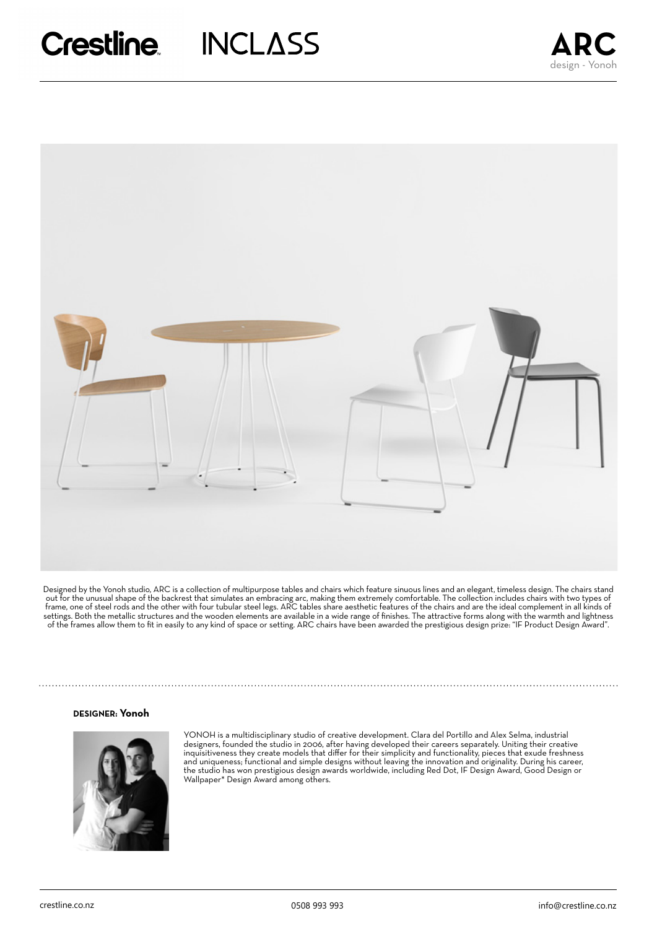

Designed by the Yonoh studio, ARC is a collection of multipurpose tables and chairs which feature sinuous lines and an elegant, timeless design. The chairs stand out for the unusual shape of the backrest that simulates an embracing arc, making them extremely comfortable. The collection includes chairs with two types of frame, one of steel rods and the other with four tubular steel legs. ARC tables share aesthetic features of the chairs and are the ideal complement in all kinds of settings. Both the metallic structures and the wooden elements are available in a wide range of finishes. The attractive forms along with the warmth and lightness of the frames allow them to fit in easily to any kind of space or setting. ARC chairs have been awarded the prestigious design prize: "IF Product Design Award".

#### **DESIGNER: Yonoh**



YONOH is a multidisciplinary studio of creative development. Clara del Portillo and Alex Selma, industrial designers, founded the studio in 2006, after having developed their careers separately. Uniting their creative inquisitiveness they create models that differ for their simplicity and functionality, pieces that exude freshness and uniqueness; functional and simple designs without leaving the innovation and originality. During his career, the studio has won prestigious design awards worldwide, including Red Dot, IF Design Award, Good Design or Wallpaper\* Design Award among others.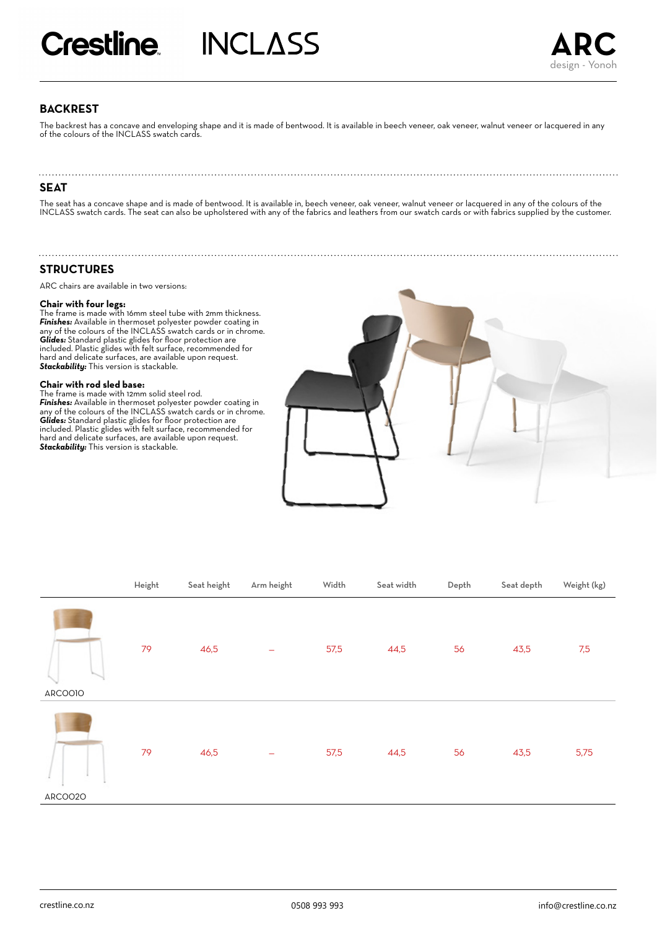# **BACKREST**

The backrest has a concave and enveloping shape and it is made of bentwood. It is available in beech veneer, oak veneer, walnut veneer or lacquered in any of the colours of the INCLASS swatch cards.

# **SEAT**

The seat has a concave shape and is made of bentwood. It is available in, beech veneer, oak veneer, walnut veneer or lacquered in any of the colours of the INCLASS swatch cards. The seat can also be upholstered with any of the fabrics and leathers from our swatch cards or with fabrics supplied by the customer.

# **STRUCTURES**

ARC chairs are available in two versions:

**Chair with four legs:** The frame is made with 16mm steel tube with 2mm thickness. *Finishes:* Available in thermoset polyester powder coating in any of the colours of the INCLASS swatch cards or in chrome. *Glides:* Standard plastic glides for floor protection are included. Plastic glides with felt surface, recommended for hard and delicate surfaces, are available upon request. *Stackability:* This version is stackable.

# **Chair with rod sled base:**

The frame is made with 12mm solid steel rod. *Finishes:* Available in thermoset polyester powder coating in any of the colours of the INCLASS swatch cards or in chrome. *Glides:* Standard plastic glides for floor protection are included. Plastic glides with felt surface, recommended for hard and delicate surfaces, are available upon request. *Stackability:* This version is stackable.



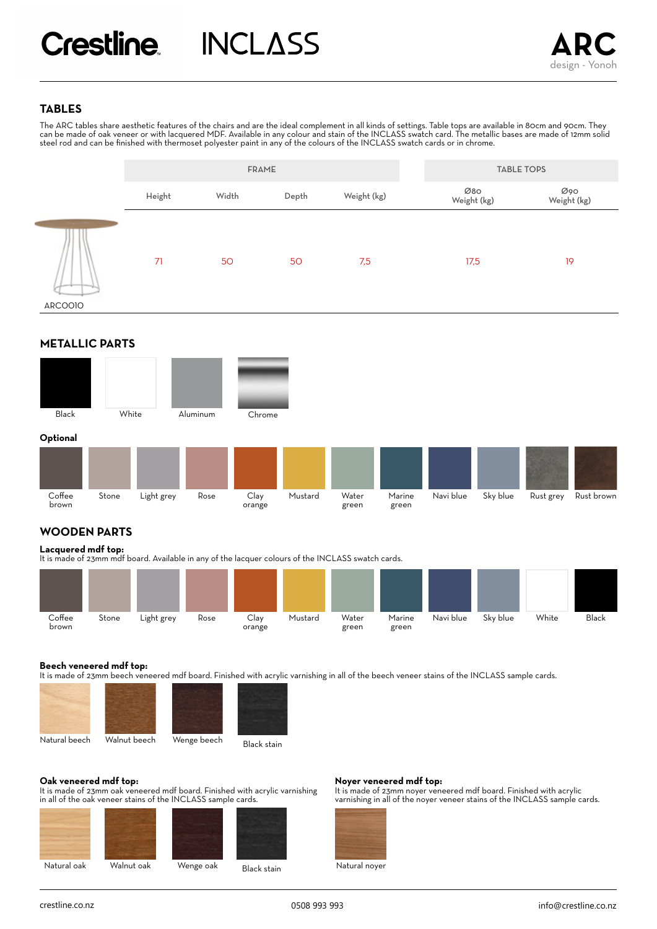# **TABLES**

The ARC tables share aesthetic features of the chairs and are the ideal complement in all kinds of settings. Table tops are available in 80cm and 90cm. They can be made of oak veneer or with lacquered MDF. Available in any colour and stain of the INCLASS swatch card. The metallic bases are made of 12mm solid steel rod and can be finished with thermoset polyester paint in any of the colours of the INCLASS swatch cards or in chrome.



# **METALLIC PARTS**



#### Rose Clay Mustard Water Marine Naviblue orange Sky blue Rust grey Rust brown green Coffee brown Stone Light grey green

# **WOODEN PARTS**

### **Lacquered mdf top:**

It is made of 23mm mdf board. Available in any of the lacquer colours of the INCLASS swatch cards.



### **Beech veneered mdf top:**

It is made of 23mm beech veneered mdf board. Finished with acrylic varnishing in all of the beech veneer stains of the INCLASS sample cards.





Black stain

# **Oak veneered mdf top:**

It is made of 23mm oak veneered mdf board. Finished with acrylic varnishing in all of the oak veneer stains of the INCLASS sample cards.





Black stain

### **Noyer veneered mdf top:**

It is made of 23mm noyer veneered mdf board. Finished with acrylic varnishing in all of the noyer veneer stains of the INCLASS sample cards.